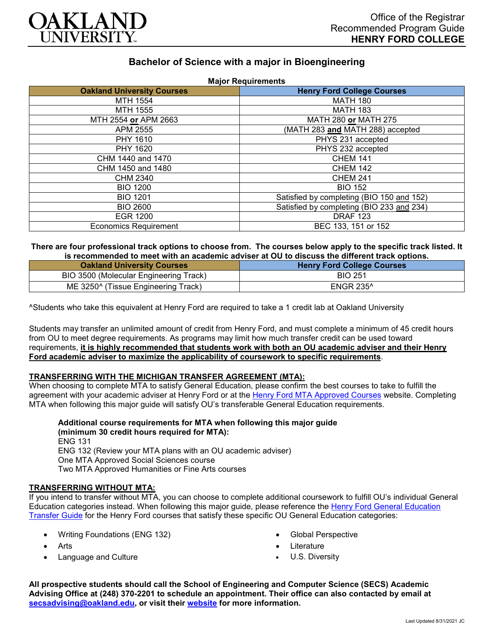

# **Bachelor of Science with a major in Bioengineering**

| <b>Major Requirements</b>         |                                           |
|-----------------------------------|-------------------------------------------|
| <b>Oakland University Courses</b> | <b>Henry Ford College Courses</b>         |
| MTH 1554                          | <b>MATH 180</b>                           |
| MTH 1555                          | <b>MATH 183</b>                           |
| MTH 2554 or APM 2663              | MATH 280 or MATH 275                      |
| APM 2555                          | (MATH 283 and MATH 288) accepted          |
| PHY 1610                          | PHYS 231 accepted                         |
| PHY 1620                          | PHYS 232 accepted                         |
| CHM 1440 and 1470                 | <b>CHEM 141</b>                           |
| CHM 1450 and 1480                 | <b>CHEM 142</b>                           |
| CHM 2340                          | <b>CHEM 241</b>                           |
| <b>BIO 1200</b>                   | <b>BIO 152</b>                            |
| <b>BIO 1201</b>                   | Satisfied by completing (BIO 150 and 152) |
| <b>BIO 2600</b>                   | Satisfied by completing (BIO 233 and 234) |
| EGR 1200                          | <b>DRAF 123</b>                           |
| <b>Economics Requirement</b>      | BEC 133, 151 or 152                       |

#### **There are four professional track options to choose from. The courses below apply to the specific track listed. It is recommended to meet with an academic adviser at OU to discuss the different track options.**

| <b>Oakland University Courses</b>      | <b>Henry Ford College Courses</b> |
|----------------------------------------|-----------------------------------|
| BIO 3500 (Molecular Engineering Track) | <b>BIO 251</b>                    |
| ME 3250^ (Tissue Engineering Track)    | <b>ENGR 235^</b>                  |

^Students who take this equivalent at Henry Ford are required to take a 1 credit lab at Oakland University

Students may transfer an unlimited amount of credit from Henry Ford, and must complete a minimum of 45 credit hours from OU to meet degree requirements. As programs may limit how much transfer credit can be used toward requirements, **it is highly recommended that students work with both an OU academic adviser and their Henry Ford academic adviser to maximize the applicability of coursework to specific requirements**.

## **TRANSFERRING WITH THE MICHIGAN TRANSFER AGREEMENT (MTA):**

When choosing to complete MTA to satisfy General Education, please confirm the best courses to take to fulfill the agreement with your academic adviser at Henry Ford or at the [Henry Ford MTA Approved Courses](https://www.hfcc.edu/registration-and-records/mta/hfc-agreement) website. Completing MTA when following this major guide will satisfy OU's transferable General Education requirements.

**Additional course requirements for MTA when following this major guide (minimum 30 credit hours required for MTA):** ENG 131 ENG 132 (Review your MTA plans with an OU academic adviser) One MTA Approved Social Sciences course Two MTA Approved Humanities or Fine Arts courses

#### **TRANSFERRING WITHOUT MTA:**

If you intend to transfer without MTA, you can choose to complete additional coursework to fulfill OU's individual General Education categories instead. When following this major guide, please reference the [Henry Ford General Education](https://www.oakland.edu/Assets/Oakland/program-guides/henry-ford-college/university-general-education-requirements/Henry%20Ford%20Gen%20Ed.pdf)  [Transfer Guide](https://www.oakland.edu/Assets/Oakland/program-guides/henry-ford-college/university-general-education-requirements/Henry%20Ford%20Gen%20Ed.pdf) for the Henry Ford courses that satisfy these specific OU General Education categories:

- Writing Foundations (ENG 132)
- Arts
- Language and Culture
- Global Perspective
- **Literature**
- U.S. Diversity

**All prospective students should call the School of Engineering and Computer Science (SECS) Academic Advising Office at (248) 370-2201 to schedule an appointment. Their office can also contacted by email at [secsadvising@oakland.edu,](mailto:secsadvising@oakland.edu) or visit their [website](https://wwwp.oakland.edu/secs/advising/) for more information.**